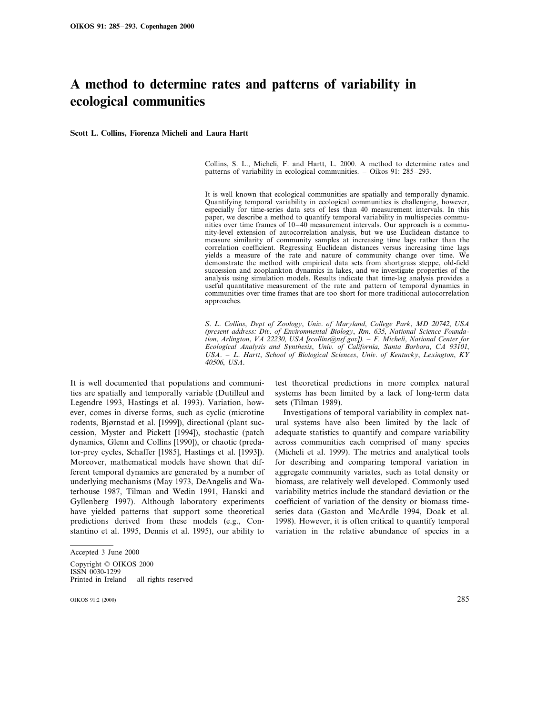# **A method to determine rates and patterns of variability in ecological communities**

**Scott L. Collins, Fiorenza Micheli and Laura Hartt**

Collins, S. L., Micheli, F. and Hartt, L. 2000. A method to determine rates and patterns of variability in ecological communities. – Oikos 91: 285–293.

It is well known that ecological communities are spatially and temporally dynamic. Quantifying temporal variability in ecological communities is challenging, however, especially for time-series data sets of less than 40 measurement intervals. In this paper, we describe a method to quantify temporal variability in multispecies communities over time frames of 10–40 measurement intervals. Our approach is a community-level extension of autocorrelation analysis, but we use Euclidean distance to measure similarity of community samples at increasing time lags rather than the correlation coefficient. Regressing Euclidean distances versus increasing time lags yields a measure of the rate and nature of community change over time. We demonstrate the method with empirical data sets from shortgrass steppe, old-field succession and zooplankton dynamics in lakes, and we investigate properties of the analysis using simulation models. Results indicate that time-lag analysis provides a useful quantitative measurement of the rate and pattern of temporal dynamics in communities over time frames that are too short for more traditional autocorrelation approaches.

*S*. *L*. *Collins*, *Dept of Zoology*, *Uni*6. *of Maryland*, *College Park*, *MD* <sup>20742</sup>, *USA* (present address: Div. of Environmental Biology, Rm. 635, National Science Founda*tion*, *Arlington*, *VA* <sup>22230</sup>, *USA* [*scollins@nsf*.*go*6]). – *F*. *Micheli*, *National Center for Ecological Analysis and Synthesis*, *Uni*6. *of California*, *Santa Barbara*, *CA* <sup>93101</sup>, *USA*. – *L*. *Hartt*, *School of Biological Sciences*, *Uni*6. *of Kentucky*, *Lexington*, *KY* 40506, *USA*.

It is well documented that populations and communities are spatially and temporally variable (Dutilleul and Legendre 1993, Hastings et al. 1993). Variation, however, comes in diverse forms, such as cyclic (microtine rodents, Bjørnstad et al. [1999]), directional (plant succession, Myster and Pickett [1994]), stochastic (patch dynamics, Glenn and Collins [1990]), or chaotic (predator-prey cycles, Schaffer [1985], Hastings et al. [1993]). Moreover, mathematical models have shown that different temporal dynamics are generated by a number of underlying mechanisms (May 1973, DeAngelis and Waterhouse 1987, Tilman and Wedin 1991, Hanski and Gyllenberg 1997). Although laboratory experiments have yielded patterns that support some theoretical predictions derived from these models (e.g., Constantino et al. 1995, Dennis et al. 1995), our ability to

Copyright © OIKOS 2000 ISSN 0030-1299 Printed in Ireland – all rights reserved

test theoretical predictions in more complex natural systems has been limited by a lack of long-term data sets (Tilman 1989).

Investigations of temporal variability in complex natural systems have also been limited by the lack of adequate statistics to quantify and compare variability across communities each comprised of many species (Micheli et al. 1999). The metrics and analytical tools for describing and comparing temporal variation in aggregate community variates, such as total density or biomass, are relatively well developed. Commonly used variability metrics include the standard deviation or the coefficient of variation of the density or biomass timeseries data (Gaston and McArdle 1994, Doak et al. 1998). However, it is often critical to quantify temporal variation in the relative abundance of species in a

Accepted 3 June 2000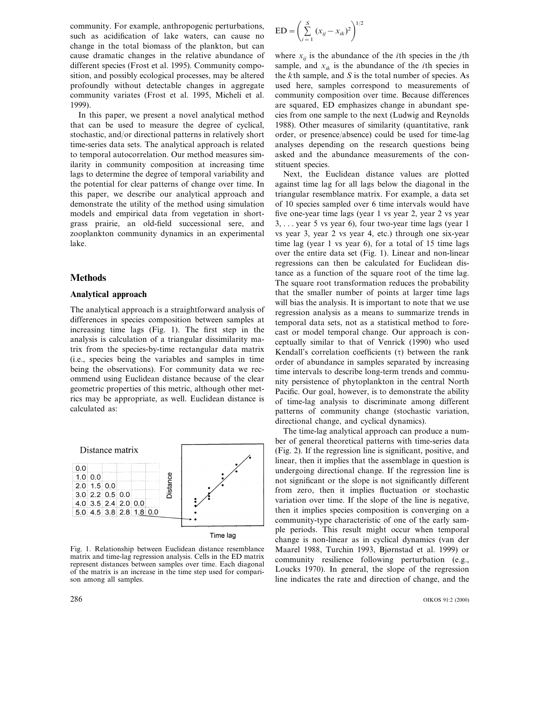community. For example, anthropogenic perturbations, such as acidification of lake waters, can cause no change in the total biomass of the plankton, but can cause dramatic changes in the relative abundance of different species (Frost et al. 1995). Community composition, and possibly ecological processes, may be altered profoundly without detectable changes in aggregate community variates (Frost et al. 1995, Micheli et al. 1999).

In this paper, we present a novel analytical method that can be used to measure the degree of cyclical, stochastic, and/or directional patterns in relatively short time-series data sets. The analytical approach is related to temporal autocorrelation. Our method measures similarity in community composition at increasing time lags to determine the degree of temporal variability and the potential for clear patterns of change over time. In this paper, we describe our analytical approach and demonstrate the utility of the method using simulation models and empirical data from vegetation in shortgrass prairie, an old-field successional sere, and zooplankton community dynamics in an experimental lake.

## **Methods**

#### **Analytical approach**

The analytical approach is a straightforward analysis of differences in species composition between samples at increasing time lags (Fig. 1). The first step in the analysis is calculation of a triangular dissimilarity matrix from the species-by-time rectangular data matrix (i.e., species being the variables and samples in time being the observations). For community data we recommend using Euclidean distance because of the clear geometric properties of this metric, although other metrics may be appropriate, as well. Euclidean distance is calculated as:



Fig. 1. Relationship between Euclidean distance resemblance matrix and time-lag regression analysis. Cells in the ED matrix represent distances between samples over time. Each diagonal of the matrix is an increase in the time step used for comparison among all samples.

$$
ED = \left(\sum_{i=1}^{S} (x_{ij} - x_{ik})^2\right)^{1/2}
$$

where  $x_{ij}$  is the abundance of the *i*th species in the *j*th sample, and  $x_{ik}$  is the abundance of the *i*th species in the *k*th sample, and *S* is the total number of species. As used here, samples correspond to measurements of community composition over time. Because differences are squared, ED emphasizes change in abundant species from one sample to the next (Ludwig and Reynolds 1988). Other measures of similarity (quantitative, rank order, or presence/absence) could be used for time-lag analyses depending on the research questions being asked and the abundance measurements of the constituent species.

Next, the Euclidean distance values are plotted against time lag for all lags below the diagonal in the triangular resemblance matrix. For example, a data set of 10 species sampled over 6 time intervals would have five one-year time lags (year 1 vs year 2, year 2 vs year  $3, \ldots$  year 5 vs year 6), four two-year time lags (year 1) vs year 3, year 2 vs year 4, etc.) through one six-year time lag (year 1 vs year 6), for a total of 15 time lags over the entire data set (Fig. 1). Linear and non-linear regressions can then be calculated for Euclidean distance as a function of the square root of the time lag. The square root transformation reduces the probability that the smaller number of points at larger time lags will bias the analysis. It is important to note that we use regression analysis as a means to summarize trends in temporal data sets, not as a statistical method to forecast or model temporal change. Our approach is conceptually similar to that of Venrick (1990) who used Kendall's correlation coefficients  $(\tau)$  between the rank order of abundance in samples separated by increasing time intervals to describe long-term trends and community persistence of phytoplankton in the central North Pacific. Our goal, however, is to demonstrate the ability of time-lag analysis to discriminate among different patterns of community change (stochastic variation, directional change, and cyclical dynamics).

The time-lag analytical approach can produce a number of general theoretical patterns with time-series data (Fig. 2). If the regression line is significant, positive, and linear, then it implies that the assemblage in question is undergoing directional change. If the regression line is not significant or the slope is not significantly different from zero, then it implies fluctuation or stochastic variation over time. If the slope of the line is negative, then it implies species composition is converging on a community-type characteristic of one of the early sample periods. This result might occur when temporal change is non-linear as in cyclical dynamics (van der Maarel 1988, Turchin 1993, Bjørnstad et al. 1999) or community resilience following perturbation (e.g., Loucks 1970). In general, the slope of the regression line indicates the rate and direction of change, and the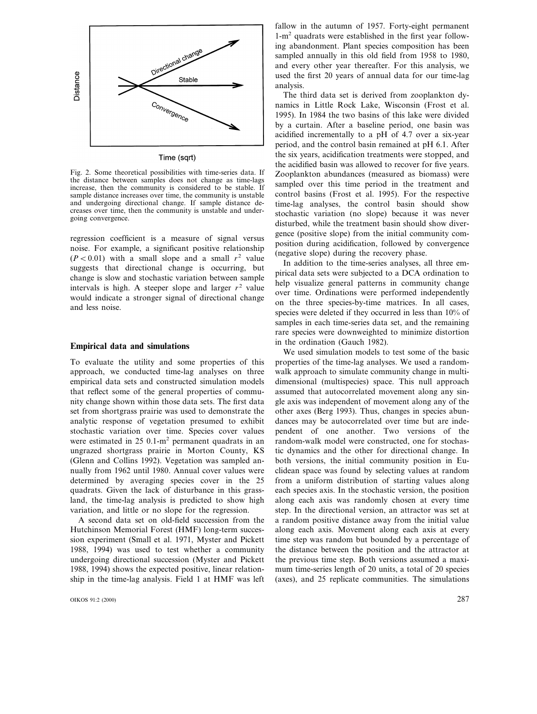

## Time (sqrt)

Fig. 2. Some theoretical possibilities with time-series data. If the distance between samples does not change as time-lags increase, then the community is considered to be stable. If sample distance increases over time, the community is unstable and undergoing directional change. If sample distance decreases over time, then the community is unstable and undergoing convergence.

regression coefficient is a measure of signal versus noise. For example, a significant positive relationship  $(P < 0.01)$  with a small slope and a small  $r<sup>2</sup>$  value suggests that directional change is occurring, but change is slow and stochastic variation between sample intervals is high. A steeper slope and larger  $r^2$  value would indicate a stronger signal of directional change and less noise.

## **Empirical data and simulations**

To evaluate the utility and some properties of this approach, we conducted time-lag analyses on three empirical data sets and constructed simulation models that reflect some of the general properties of community change shown within those data sets. The first data set from shortgrass prairie was used to demonstrate the analytic response of vegetation presumed to exhibit stochastic variation over time. Species cover values were estimated in 25 0.1-m<sup>2</sup> permanent quadrats in an ungrazed shortgrass prairie in Morton County, KS (Glenn and Collins 1992). Vegetation was sampled annually from 1962 until 1980. Annual cover values were determined by averaging species cover in the 25 quadrats. Given the lack of disturbance in this grassland, the time-lag analysis is predicted to show high variation, and little or no slope for the regression.

A second data set on old-field succession from the Hutchinson Memorial Forest (HMF) long-term succession experiment (Small et al. 1971, Myster and Pickett 1988, 1994) was used to test whether a community undergoing directional succession (Myster and Pickett 1988, 1994) shows the expected positive, linear relationship in the time-lag analysis. Field 1 at HMF was left

fallow in the autumn of 1957. Forty-eight permanent 1-m2 quadrats were established in the first year following abandonment. Plant species composition has been sampled annually in this old field from 1958 to 1980, and every other year thereafter. For this analysis, we used the first 20 years of annual data for our time-lag analysis.

The third data set is derived from zooplankton dynamics in Little Rock Lake, Wisconsin (Frost et al. 1995). In 1984 the two basins of this lake were divided by a curtain. After a baseline period, one basin was acidified incrementally to a pH of 4.7 over a six-year period, and the control basin remained at pH 6.1. After the six years, acidification treatments were stopped, and the acidified basin was allowed to recover for five years. Zooplankton abundances (measured as biomass) were sampled over this time period in the treatment and control basins (Frost et al. 1995). For the respective time-lag analyses, the control basin should show stochastic variation (no slope) because it was never disturbed, while the treatment basin should show divergence (positive slope) from the initial community composition during acidification, followed by convergence (negative slope) during the recovery phase.

In addition to the time-series analyses, all three empirical data sets were subjected to a DCA ordination to help visualize general patterns in community change over time. Ordinations were performed independently on the three species-by-time matrices. In all cases, species were deleted if they occurred in less than 10% of samples in each time-series data set, and the remaining rare species were downweighted to minimize distortion in the ordination (Gauch 1982).

We used simulation models to test some of the basic properties of the time-lag analyses. We used a randomwalk approach to simulate community change in multidimensional (multispecies) space. This null approach assumed that autocorrelated movement along any single axis was independent of movement along any of the other axes (Berg 1993). Thus, changes in species abundances may be autocorrelated over time but are independent of one another. Two versions of the random-walk model were constructed, one for stochastic dynamics and the other for directional change. In both versions, the initial community position in Euclidean space was found by selecting values at random from a uniform distribution of starting values along each species axis. In the stochastic version, the position along each axis was randomly chosen at every time step. In the directional version, an attractor was set at a random positive distance away from the initial value along each axis. Movement along each axis at every time step was random but bounded by a percentage of the distance between the position and the attractor at the previous time step. Both versions assumed a maximum time-series length of 20 units, a total of 20 species (axes), and 25 replicate communities. The simulations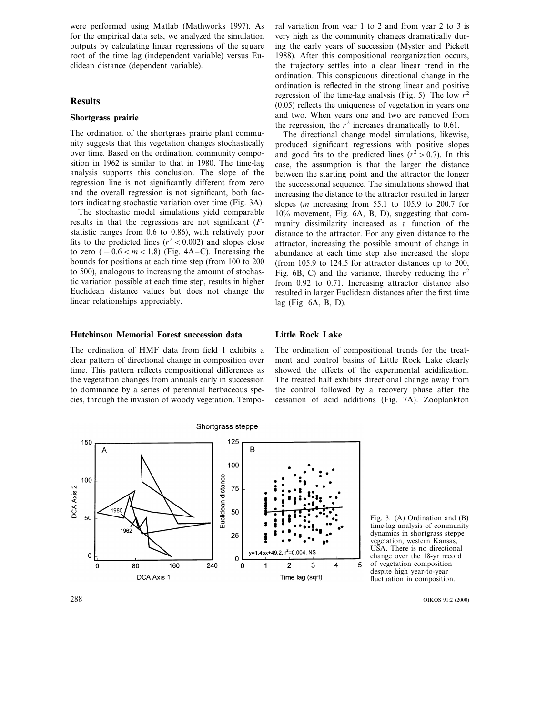were performed using Matlab (Mathworks 1997). As for the empirical data sets, we analyzed the simulation outputs by calculating linear regressions of the square root of the time lag (independent variable) versus Euclidean distance (dependent variable).

## **Results**

## **Shortgrass prairie**

The ordination of the shortgrass prairie plant community suggests that this vegetation changes stochastically over time. Based on the ordination, community composition in 1962 is similar to that in 1980. The time-lag analysis supports this conclusion. The slope of the regression line is not significantly different from zero and the overall regression is not significant, both factors indicating stochastic variation over time (Fig. 3A).

The stochastic model simulations yield comparable results in that the regressions are not significant (*F*statistic ranges from 0.6 to 0.86), with relatively poor fits to the predicted lines  $(r^2 < 0.002)$  and slopes close to zero  $(-0.6 < m < 1.8)$  (Fig. 4A–C). Increasing the bounds for positions at each time step (from 100 to 200 to 500), analogous to increasing the amount of stochastic variation possible at each time step, results in higher Euclidean distance values but does not change the linear relationships appreciably.

## **Hutchinson Memorial Forest succession data**

The ordination of HMF data from field 1 exhibits a clear pattern of directional change in composition over time. This pattern reflects compositional differences as the vegetation changes from annuals early in succession to dominance by a series of perennial herbaceous species, through the invasion of woody vegetation. Tempo-

ral variation from year 1 to 2 and from year 2 to 3 is very high as the community changes dramatically during the early years of succession (Myster and Pickett 1988). After this compositional reorganization occurs, the trajectory settles into a clear linear trend in the ordination. This conspicuous directional change in the ordination is reflected in the strong linear and positive regression of the time-lag analysis (Fig. 5). The low  $r^2$ (0.05) reflects the uniqueness of vegetation in years one and two. When years one and two are removed from the regression, the  $r^2$  increases dramatically to 0.61.

The directional change model simulations, likewise, produced significant regressions with positive slopes and good fits to the predicted lines  $(r^2 > 0.7)$ . In this case, the assumption is that the larger the distance between the starting point and the attractor the longer the successional sequence. The simulations showed that increasing the distance to the attractor resulted in larger slopes (*m* increasing from 55.1 to 105.9 to 200.7 for 10% movement, Fig. 6A, B, D), suggesting that community dissimilarity increased as a function of the distance to the attractor. For any given distance to the attractor, increasing the possible amount of change in abundance at each time step also increased the slope (from 105.9 to 124.5 for attractor distances up to 200, Fig. 6B, C) and the variance, thereby reducing the  $r^2$ from 0.92 to 0.71. Increasing attractor distance also resulted in larger Euclidean distances after the first time lag (Fig. 6A, B, D).

#### **Little Rock Lake**

The ordination of compositional trends for the treatment and control basins of Little Rock Lake clearly showed the effects of the experimental acidification. The treated half exhibits directional change away from the control followed by a recovery phase after the cessation of acid additions (Fig. 7A). Zooplankton





288 OIKOS 91:2 (2000)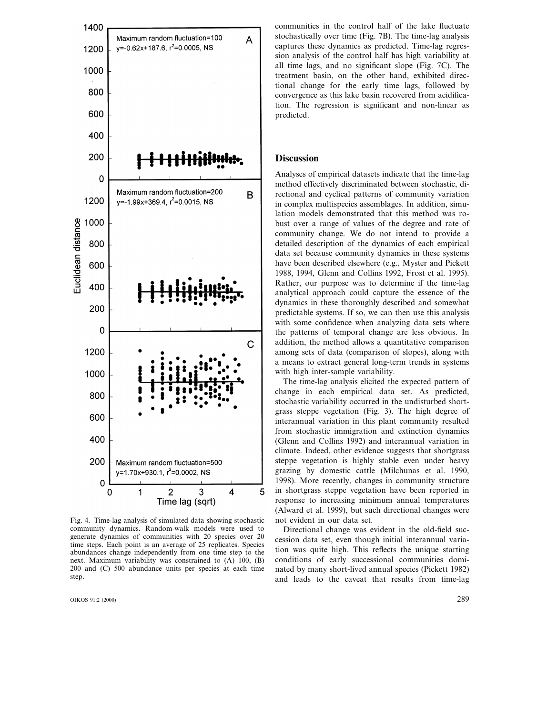

Fig. 4. Time-lag analysis of simulated data showing stochastic community dynamics. Random-walk models were used to generate dynamics of communities with 20 species over 20 time steps. Each point is an average of 25 replicates. Species abundances change independently from one time step to the next. Maximum variability was constrained to (A) 100, (B) 200 and (C) 500 abundance units per species at each time step.

OIKOS 91:2 (2000) 289

communities in the control half of the lake fluctuate stochastically over time (Fig. 7B). The time-lag analysis captures these dynamics as predicted. Time-lag regression analysis of the control half has high variability at all time lags, and no significant slope (Fig. 7C). The treatment basin, on the other hand, exhibited directional change for the early time lags, followed by convergence as this lake basin recovered from acidification. The regression is significant and non-linear as predicted.

## **Discussion**

Analyses of empirical datasets indicate that the time-lag method effectively discriminated between stochastic, directional and cyclical patterns of community variation in complex multispecies assemblages. In addition, simulation models demonstrated that this method was robust over a range of values of the degree and rate of community change. We do not intend to provide a detailed description of the dynamics of each empirical data set because community dynamics in these systems have been described elsewhere (e.g., Myster and Pickett 1988, 1994, Glenn and Collins 1992, Frost et al. 1995). Rather, our purpose was to determine if the time-lag analytical approach could capture the essence of the dynamics in these thoroughly described and somewhat predictable systems. If so, we can then use this analysis with some confidence when analyzing data sets where the patterns of temporal change are less obvious. In addition, the method allows a quantitative comparison among sets of data (comparison of slopes), along with a means to extract general long-term trends in systems with high inter-sample variability.

The time-lag analysis elicited the expected pattern of change in each empirical data set. As predicted, stochastic variability occurred in the undisturbed shortgrass steppe vegetation (Fig. 3). The high degree of interannual variation in this plant community resulted from stochastic immigration and extinction dynamics (Glenn and Collins 1992) and interannual variation in climate. Indeed, other evidence suggests that shortgrass steppe vegetation is highly stable even under heavy grazing by domestic cattle (Milchunas et al. 1990, 1998). More recently, changes in community structure in shortgrass steppe vegetation have been reported in response to increasing minimum annual temperatures (Alward et al. 1999), but such directional changes were not evident in our data set.

Directional change was evident in the old-field succession data set, even though initial interannual variation was quite high. This reflects the unique starting conditions of early successional communities dominated by many short-lived annual species (Pickett 1982) and leads to the caveat that results from time-lag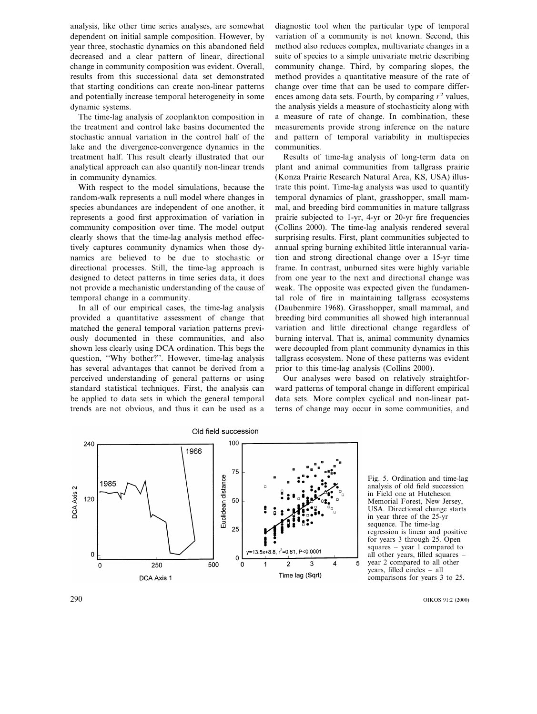analysis, like other time series analyses, are somewhat dependent on initial sample composition. However, by year three, stochastic dynamics on this abandoned field decreased and a clear pattern of linear, directional change in community composition was evident. Overall, results from this successional data set demonstrated that starting conditions can create non-linear patterns and potentially increase temporal heterogeneity in some dynamic systems.

The time-lag analysis of zooplankton composition in the treatment and control lake basins documented the stochastic annual variation in the control half of the lake and the divergence-convergence dynamics in the treatment half. This result clearly illustrated that our analytical approach can also quantify non-linear trends in community dynamics.

With respect to the model simulations, because the random-walk represents a null model where changes in species abundances are independent of one another, it represents a good first approximation of variation in community composition over time. The model output clearly shows that the time-lag analysis method effectively captures community dynamics when those dynamics are believed to be due to stochastic or directional processes. Still, the time-lag approach is designed to detect patterns in time series data, it does not provide a mechanistic understanding of the cause of temporal change in a community.

In all of our empirical cases, the time-lag analysis provided a quantitative assessment of change that matched the general temporal variation patterns previously documented in these communities, and also shown less clearly using DCA ordination. This begs the question, ''Why bother?''. However, time-lag analysis has several advantages that cannot be derived from a perceived understanding of general patterns or using standard statistical techniques. First, the analysis can be applied to data sets in which the general temporal trends are not obvious, and thus it can be used as a

diagnostic tool when the particular type of temporal variation of a community is not known. Second, this method also reduces complex, multivariate changes in a suite of species to a simple univariate metric describing community change. Third, by comparing slopes, the method provides a quantitative measure of the rate of change over time that can be used to compare differences among data sets. Fourth, by comparing  $r^2$  values, the analysis yields a measure of stochasticity along with a measure of rate of change. In combination, these measurements provide strong inference on the nature and pattern of temporal variability in multispecies communities.

Results of time-lag analysis of long-term data on plant and animal communities from tallgrass prairie (Konza Prairie Research Natural Area, KS, USA) illustrate this point. Time-lag analysis was used to quantify temporal dynamics of plant, grasshopper, small mammal, and breeding bird communities in mature tallgrass prairie subjected to 1-yr, 4-yr or 20-yr fire frequencies (Collins 2000). The time-lag analysis rendered several surprising results. First, plant communities subjected to annual spring burning exhibited little interannual variation and strong directional change over a 15-yr time frame. In contrast, unburned sites were highly variable from one year to the next and directional change was weak. The opposite was expected given the fundamental role of fire in maintaining tallgrass ecosystems (Daubenmire 1968). Grasshopper, small mammal, and breeding bird communities all showed high interannual variation and little directional change regardless of burning interval. That is, animal community dynamics were decoupled from plant community dynamics in this tallgrass ecosystem. None of these patterns was evident prior to this time-lag analysis (Collins 2000).

Our analyses were based on relatively straightforward patterns of temporal change in different empirical data sets. More complex cyclical and non-linear patterns of change may occur in some communities, and



Fig. 5. Ordination and time-lag analysis of old field succession in Field one at Hutcheson Memorial Forest, New Jersey, USA. Directional change starts in year three of the 25-yr sequence. The time-lag regression is linear and positive for years 3 through 25. Open squares – year 1 compared to all other years, filled squares – year 2 compared to all other years, filled circles – all comparisons for years 3 to 25.

290 OIKOS 91:2 (2000)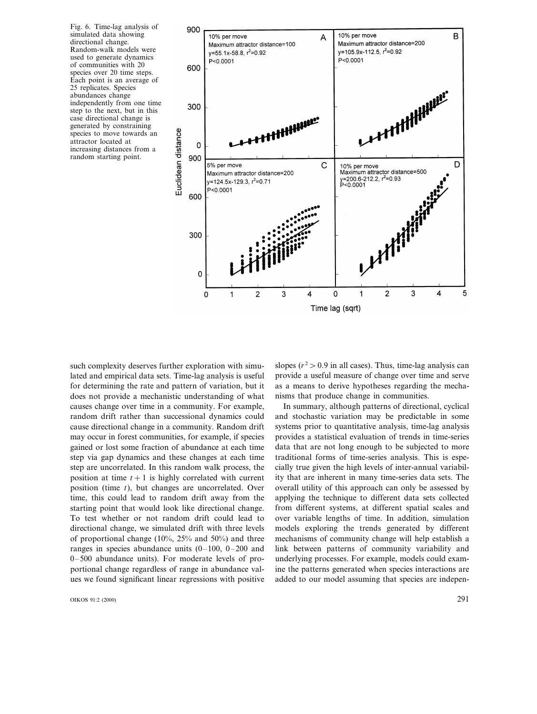Fig. 6. Time-lag analysis of simulated data showing directional change. Random-walk models were used to generate dynamics of communities with 20 species over 20 time steps. Each point is an average of 25 replicates. Species abundances change independently from one time step to the next, but in this case directional change is generated by constraining species to move towards an attractor located at increasing distances from a random starting point.



such complexity deserves further exploration with simulated and empirical data sets. Time-lag analysis is useful for determining the rate and pattern of variation, but it does not provide a mechanistic understanding of what causes change over time in a community. For example, random drift rather than successional dynamics could cause directional change in a community. Random drift may occur in forest communities, for example, if species gained or lost some fraction of abundance at each time step via gap dynamics and these changes at each time step are uncorrelated. In this random walk process, the position at time  $t+1$  is highly correlated with current position (time *t*), but changes are uncorrelated. Over time, this could lead to random drift away from the starting point that would look like directional change. To test whether or not random drift could lead to directional change, we simulated drift with three levels of proportional change (10%, 25% and 50%) and three ranges in species abundance units (0–100, 0–200 and 0–500 abundance units). For moderate levels of proportional change regardless of range in abundance values we found significant linear regressions with positive

OIKOS 91:2 (2000) 291

slopes  $(r^2 > 0.9$  in all cases). Thus, time-lag analysis can provide a useful measure of change over time and serve as a means to derive hypotheses regarding the mechanisms that produce change in communities.

In summary, although patterns of directional, cyclical and stochastic variation may be predictable in some systems prior to quantitative analysis, time-lag analysis provides a statistical evaluation of trends in time-series data that are not long enough to be subjected to more traditional forms of time-series analysis. This is especially true given the high levels of inter-annual variability that are inherent in many time-series data sets. The overall utility of this approach can only be assessed by applying the technique to different data sets collected from different systems, at different spatial scales and over variable lengths of time. In addition, simulation models exploring the trends generated by different mechanisms of community change will help establish a link between patterns of community variability and underlying processes. For example, models could examine the patterns generated when species interactions are added to our model assuming that species are indepen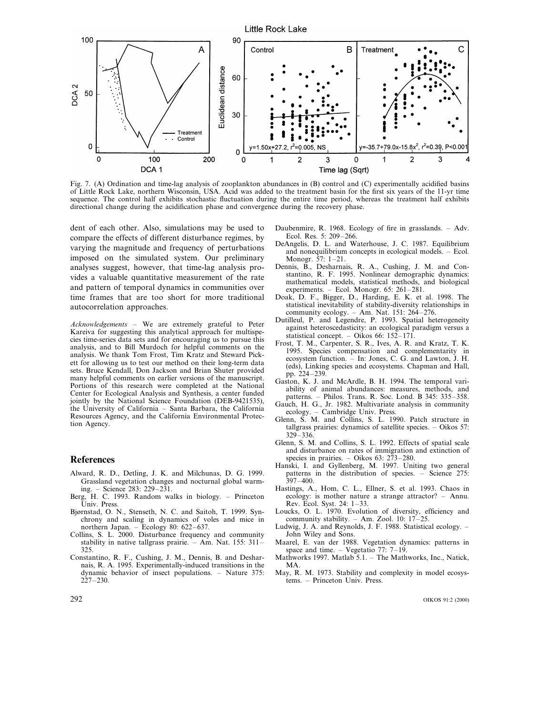Little Rock Lake



Fig. 7. (A) Ordination and time-lag analysis of zooplankton abundances in (B) control and (C) experimentally acidified basins of Little Rock Lake, northern Wisconsin, USA. Acid was added to the treatment basin for the first six years of the 11-yr time sequence. The control half exhibits stochastic fluctuation during the entire time period, whereas the treatment half exhibits directional change during the acidification phase and convergence during the recovery phase.

dent of each other. Also, simulations may be used to compare the effects of different disturbance regimes, by varying the magnitude and frequency of perturbations imposed on the simulated system. Our preliminary analyses suggest, however, that time-lag analysis provides a valuable quantitative measurement of the rate and pattern of temporal dynamics in communities over time frames that are too short for more traditional autocorrelation approaches.

*Acknowledgements* – We are extremely grateful to Peter Kareiva for suggesting this analytical approach for multispecies time-series data sets and for encouraging us to pursue this analysis, and to Bill Murdoch for helpful comments on the analysis. We thank Tom Frost, Tim Kratz and Steward Pickett for allowing us to test our method on their long-term data sets. Bruce Kendall, Don Jackson and Brian Shuter provided many helpful comments on earlier versions of the manuscript. Portions of this research were completed at the National Center for Ecological Analysis and Synthesis, a center funded jointly by the National Science Foundation (DEB-9421535), the University of California – Santa Barbara, the California Resources Agency, and the California Environmental Protection Agency.

## **References**

- Alward, R. D., Detling, J. K. and Milchunas, D. G. 1999. Grassland vegetation changes and nocturnal global warming. – Science 283: 229–231.
- Berg, H. C. 1993. Random walks in biology. Princeton Univ. Press.
- Bjørnstad, O. N., Stenseth, N. C. and Saitoh, T. 1999. Synchrony and scaling in dynamics of voles and mice in northern Japan. – Ecology 80: 622–637.
- Collins, S. L. 2000. Disturbance frequency and community stability in native tallgrass prairie. – Am. Nat. 155: 311– 325.
- Constantino, R. F., Cushing, J. M., Dennis, B. and Desharnais, R. A. 1995. Experimentally-induced transitions in the dynamic behavior of insect populations. – Nature 375: 227–230.
- Daubenmire, R. 1968. Ecology of fire in grasslands. Adv. Ecol. Res. 5: 209–266.
- DeAngelis, D. L. and Waterhouse, J. C. 1987. Equilibrium and nonequilibrium concepts in ecological models. – Ecol. Monogr. 57: 1–21.
- Dennis, B., Desharnais, R. A., Cushing, J. M. and Constantino, R. F. 1995. Nonlinear demographic dynamics: mathematical models, statistical methods, and biological experiments. – Ecol. Monogr. 65: 261–281.
- Doak, D. F., Bigger, D., Harding, E. K. et al. 1998. The statistical inevitability of stability-diversity relationships in community ecology. – Am. Nat. 151: 264–276.
- Dutilleul, P. and Legendre, P. 1993. Spatial heterogeneity against heteroscedasticity: an ecological paradigm versus a statistical concept. – Oikos 66: 152–171.
- Frost, T. M., Carpenter, S. R., Ives, A. R. and Kratz, T. K. 1995. Species compensation and complementarity in ecosystem function. – In: Jones, C. G. and Lawton, J. H. (eds), Linking species and ecosystems. Chapman and Hall, pp. 224–239.
- Gaston, K. J. and McArdle, B. H. 1994. The temporal variability of animal abundances: measures, methods, and patterns. – Philos. Trans. R. Soc. Lond. B 345: 335–358.
- Gauch, H. G., Jr. 1982. Multivariate analysis in community ecology. – Cambridge Univ. Press.
- Glenn, S. M. and Collins, S. L. 1990. Patch structure in tallgrass prairies: dynamics of satellite species. – Oikos 57: 329–336.
- Glenn, S. M. and Collins, S. L. 1992. Effects of spatial scale and disturbance on rates of immigration and extinction of species in prairies. – Oikos 63: 273–280.
- Hanski, I. and Gyllenberg, M. 1997. Uniting two general patterns in the distribution of species. – Science 275: 397–400.
- Hastings, A., Hom, C. L., Ellner, S. et al. 1993. Chaos in ecology: is mother nature a strange attractor? – Annu. Rev. Ecol. Syst. 24: 1–33.
- Loucks, O. L. 1970. Evolution of diversity, efficiency and community stability. – Am. Zool. 10:  $17-25$ .
- Ludwig, J. A. and Reynolds, J. F. 1988. Statistical ecology. John Wiley and Sons.
- Maarel, E. van der 1988. Vegetation dynamics: patterns in space and time. – Vegetatio 77: 7–19.
- Mathworks 1997. Matlab 5.1. The Mathworks, Inc., Natick, MA.
- May, R. M. 1973. Stability and complexity in model ecosystems. – Princeton Univ. Press.